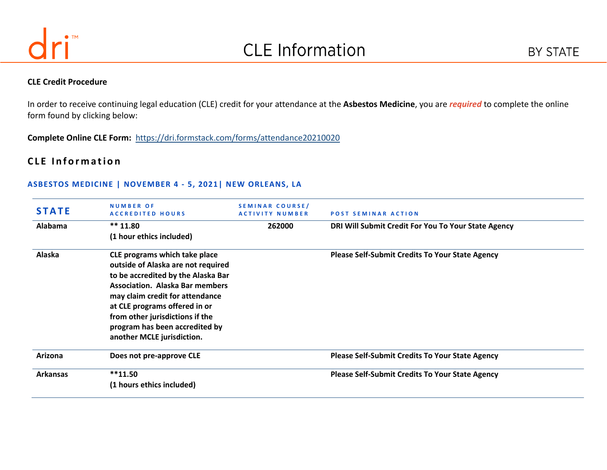

#### **CLE Credit Procedure**

In order to receive continuing legal education (CLE) credit for your attendance at the **Asbestos Medicine**, you are *required* to complete the online form found by clicking below:

**Complete Online CLE Form:** <https://dri.formstack.com/forms/attendance20210020>

# **CLE Information**

#### **ASBESTOS MEDICINE | NOVEMBER 4 - 5, 2021| NEW ORLEANS, LA**

| <b>STATE</b>    | <b>NUMBER OF</b><br><b>ACCREDITED HOURS</b> | SEMINAR COURSE/<br><b>ACTIVITY NUMBER</b> | <b>POST SEMINAR ACTION</b>                             |
|-----------------|---------------------------------------------|-------------------------------------------|--------------------------------------------------------|
| Alabama         | $*** 11.80$                                 | 262000                                    | DRI Will Submit Credit For You To Your State Agency    |
|                 | (1 hour ethics included)                    |                                           |                                                        |
| Alaska          | CLE programs which take place               |                                           | <b>Please Self-Submit Credits To Your State Agency</b> |
|                 | outside of Alaska are not required          |                                           |                                                        |
|                 | to be accredited by the Alaska Bar          |                                           |                                                        |
|                 | <b>Association. Alaska Bar members</b>      |                                           |                                                        |
|                 | may claim credit for attendance             |                                           |                                                        |
|                 | at CLE programs offered in or               |                                           |                                                        |
|                 | from other jurisdictions if the             |                                           |                                                        |
|                 | program has been accredited by              |                                           |                                                        |
|                 | another MCLE jurisdiction.                  |                                           |                                                        |
| Arizona         | Does not pre-approve CLE                    |                                           | <b>Please Self-Submit Credits To Your State Agency</b> |
| <b>Arkansas</b> | $**11.50$                                   |                                           | <b>Please Self-Submit Credits To Your State Agency</b> |
|                 | (1 hours ethics included)                   |                                           |                                                        |
|                 |                                             |                                           |                                                        |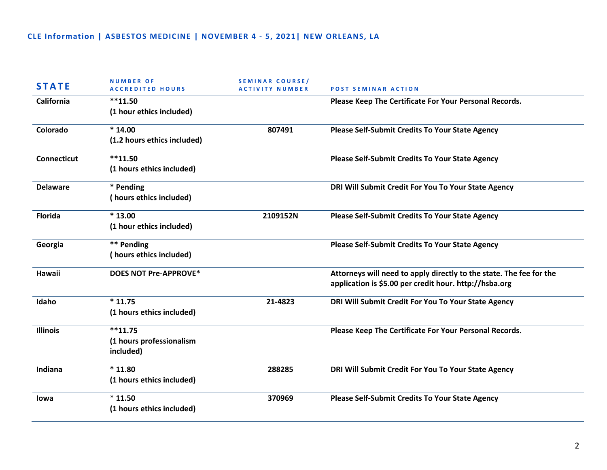| <b>STATE</b>       | <b>NUMBER OF</b><br><b>ACCREDITED HOURS</b> | SEMINAR COURSE/<br><b>ACTIVITY NUMBER</b> | <b>POST SEMINAR ACTION</b>                                          |
|--------------------|---------------------------------------------|-------------------------------------------|---------------------------------------------------------------------|
| California         | $**11.50$                                   |                                           | Please Keep The Certificate For Your Personal Records.              |
|                    | (1 hour ethics included)                    |                                           |                                                                     |
| Colorado           | $*14.00$                                    | 807491                                    | <b>Please Self-Submit Credits To Your State Agency</b>              |
|                    | (1.2 hours ethics included)                 |                                           |                                                                     |
| <b>Connecticut</b> | $**11.50$                                   |                                           | <b>Please Self-Submit Credits To Your State Agency</b>              |
|                    | (1 hours ethics included)                   |                                           |                                                                     |
| <b>Delaware</b>    | * Pending                                   |                                           | DRI Will Submit Credit For You To Your State Agency                 |
|                    | (hours ethics included)                     |                                           |                                                                     |
| <b>Florida</b>     | $*13.00$                                    | 2109152N                                  | Please Self-Submit Credits To Your State Agency                     |
|                    | (1 hour ethics included)                    |                                           |                                                                     |
| Georgia            | ** Pending                                  |                                           | Please Self-Submit Credits To Your State Agency                     |
|                    | (hours ethics included)                     |                                           |                                                                     |
| Hawaii             | <b>DOES NOT Pre-APPROVE*</b>                |                                           | Attorneys will need to apply directly to the state. The fee for the |
|                    |                                             |                                           | application is \$5.00 per credit hour. http://hsba.org              |
| Idaho              | $*11.75$                                    | 21-4823                                   | DRI Will Submit Credit For You To Your State Agency                 |
|                    | (1 hours ethics included)                   |                                           |                                                                     |
| <b>Illinois</b>    | $**11.75$                                   |                                           | Please Keep The Certificate For Your Personal Records.              |
|                    | (1 hours professionalism                    |                                           |                                                                     |
|                    | included)                                   |                                           |                                                                     |
| Indiana            | $*11.80$                                    | 288285                                    | DRI Will Submit Credit For You To Your State Agency                 |
|                    | (1 hours ethics included)                   |                                           |                                                                     |
| lowa               | $*11.50$                                    | 370969                                    | <b>Please Self-Submit Credits To Your State Agency</b>              |
|                    | (1 hours ethics included)                   |                                           |                                                                     |
|                    |                                             |                                           |                                                                     |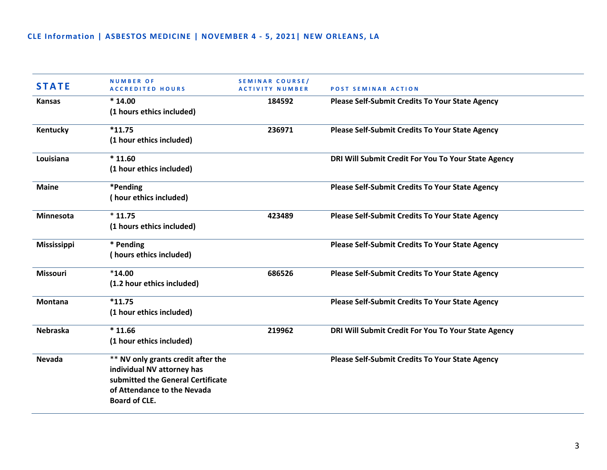| <b>STATE</b>       | <b>NUMBER OF</b><br><b>ACCREDITED HOURS</b>                                                                                                                  | SEMINAR COURSE/<br><b>ACTIVITY NUMBER</b> | <b>POST SEMINAR ACTION</b>                             |
|--------------------|--------------------------------------------------------------------------------------------------------------------------------------------------------------|-------------------------------------------|--------------------------------------------------------|
| <b>Kansas</b>      | $*14.00$<br>(1 hours ethics included)                                                                                                                        | 184592                                    | <b>Please Self-Submit Credits To Your State Agency</b> |
| Kentucky           | $*11.75$<br>(1 hour ethics included)                                                                                                                         | 236971                                    | Please Self-Submit Credits To Your State Agency        |
| Louisiana          | $*11.60$<br>(1 hour ethics included)                                                                                                                         |                                           | DRI Will Submit Credit For You To Your State Agency    |
| <b>Maine</b>       | *Pending<br>(hour ethics included)                                                                                                                           |                                           | <b>Please Self-Submit Credits To Your State Agency</b> |
| Minnesota          | $*11.75$<br>(1 hours ethics included)                                                                                                                        | 423489                                    | <b>Please Self-Submit Credits To Your State Agency</b> |
| <b>Mississippi</b> | * Pending<br>(hours ethics included)                                                                                                                         |                                           | <b>Please Self-Submit Credits To Your State Agency</b> |
| <b>Missouri</b>    | $*14.00$<br>(1.2 hour ethics included)                                                                                                                       | 686526                                    | <b>Please Self-Submit Credits To Your State Agency</b> |
| <b>Montana</b>     | $*11.75$<br>(1 hour ethics included)                                                                                                                         |                                           | <b>Please Self-Submit Credits To Your State Agency</b> |
| <b>Nebraska</b>    | $*11.66$<br>(1 hour ethics included)                                                                                                                         | 219962                                    | DRI Will Submit Credit For You To Your State Agency    |
| <b>Nevada</b>      | ** NV only grants credit after the<br>individual NV attorney has<br>submitted the General Certificate<br>of Attendance to the Nevada<br><b>Board of CLE.</b> |                                           | <b>Please Self-Submit Credits To Your State Agency</b> |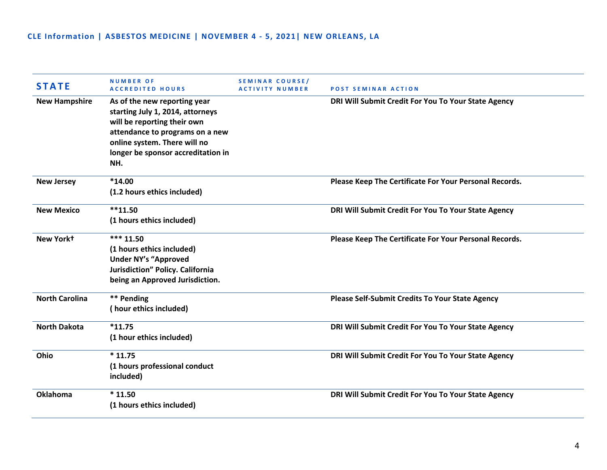| <b>STATE</b>          | <b>NUMBER OF</b><br><b>ACCREDITED HOURS</b>                                                                                                                                                                     | SEMINAR COURSE/<br>ACTIVITY NUMBER | <b>POST SEMINAR ACTION</b>                             |
|-----------------------|-----------------------------------------------------------------------------------------------------------------------------------------------------------------------------------------------------------------|------------------------------------|--------------------------------------------------------|
| <b>New Hampshire</b>  | As of the new reporting year<br>starting July 1, 2014, attorneys<br>will be reporting their own<br>attendance to programs on a new<br>online system. There will no<br>longer be sponsor accreditation in<br>NH. |                                    | DRI Will Submit Credit For You To Your State Agency    |
| <b>New Jersey</b>     | $*14.00$<br>(1.2 hours ethics included)                                                                                                                                                                         |                                    | Please Keep The Certificate For Your Personal Records. |
| <b>New Mexico</b>     | $**11.50$<br>(1 hours ethics included)                                                                                                                                                                          |                                    | DRI Will Submit Credit For You To Your State Agency    |
| New Yorkt             | *** 11.50<br>(1 hours ethics included)<br><b>Under NY's "Approved</b><br>Jurisdiction" Policy. California<br>being an Approved Jurisdiction.                                                                    |                                    | Please Keep The Certificate For Your Personal Records. |
| <b>North Carolina</b> | ** Pending<br>(hour ethics included)                                                                                                                                                                            |                                    | Please Self-Submit Credits To Your State Agency        |
| <b>North Dakota</b>   | $*11.75$<br>(1 hour ethics included)                                                                                                                                                                            |                                    | DRI Will Submit Credit For You To Your State Agency    |
| Ohio                  | $*11.75$<br>(1 hours professional conduct<br>included)                                                                                                                                                          |                                    | DRI Will Submit Credit For You To Your State Agency    |
| <b>Oklahoma</b>       | $*11.50$<br>(1 hours ethics included)                                                                                                                                                                           |                                    | DRI Will Submit Credit For You To Your State Agency    |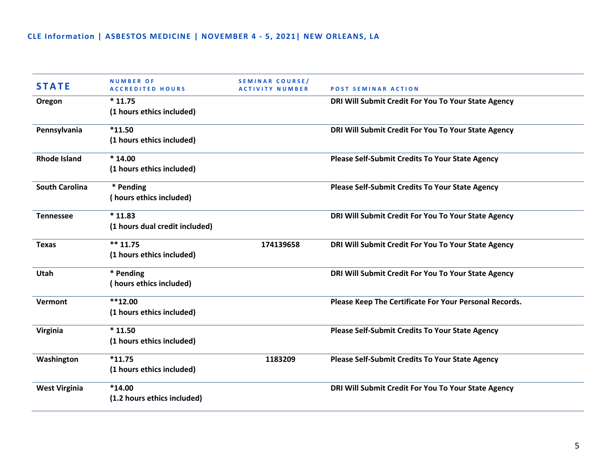| <b>STATE</b>          | <b>NUMBER OF</b><br><b>ACCREDITED HOURS</b> | <b>SEMINAR COURSE/</b><br><b>ACTIVITY NUMBER</b> | <b>POST SEMINAR ACTION</b>                             |
|-----------------------|---------------------------------------------|--------------------------------------------------|--------------------------------------------------------|
| Oregon                | $*11.75$                                    |                                                  | DRI Will Submit Credit For You To Your State Agency    |
|                       | (1 hours ethics included)                   |                                                  |                                                        |
| Pennsylvania          | $*11.50$                                    |                                                  | DRI Will Submit Credit For You To Your State Agency    |
|                       | (1 hours ethics included)                   |                                                  |                                                        |
| <b>Rhode Island</b>   | $*14.00$                                    |                                                  | Please Self-Submit Credits To Your State Agency        |
|                       | (1 hours ethics included)                   |                                                  |                                                        |
| <b>South Carolina</b> | * Pending                                   |                                                  | <b>Please Self-Submit Credits To Your State Agency</b> |
|                       | (hours ethics included)                     |                                                  |                                                        |
| <b>Tennessee</b>      | $*11.83$                                    |                                                  | DRI Will Submit Credit For You To Your State Agency    |
|                       | (1 hours dual credit included)              |                                                  |                                                        |
| <b>Texas</b>          | $*** 11.75$                                 | 174139658                                        | DRI Will Submit Credit For You To Your State Agency    |
|                       | (1 hours ethics included)                   |                                                  |                                                        |
| Utah                  | * Pending                                   |                                                  | DRI Will Submit Credit For You To Your State Agency    |
|                       | (hours ethics included)                     |                                                  |                                                        |
| Vermont               | $**12.00$                                   |                                                  | Please Keep The Certificate For Your Personal Records. |
|                       | (1 hours ethics included)                   |                                                  |                                                        |
| Virginia              | $*11.50$                                    |                                                  | <b>Please Self-Submit Credits To Your State Agency</b> |
|                       | (1 hours ethics included)                   |                                                  |                                                        |
| Washington            | $*11.75$                                    | 1183209                                          | Please Self-Submit Credits To Your State Agency        |
|                       | (1 hours ethics included)                   |                                                  |                                                        |
| <b>West Virginia</b>  | $*14.00$                                    |                                                  | DRI Will Submit Credit For You To Your State Agency    |
|                       | (1.2 hours ethics included)                 |                                                  |                                                        |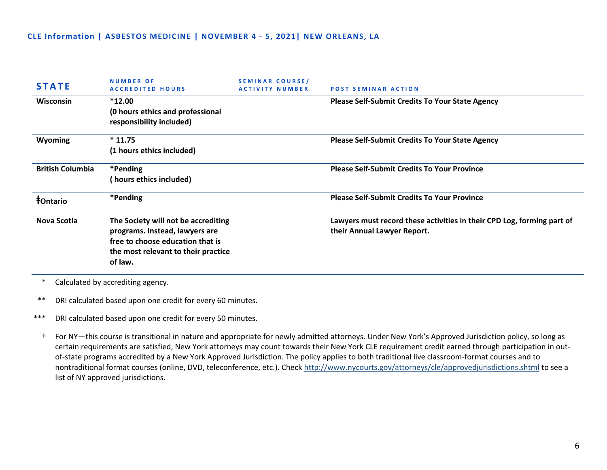| <b>STATE</b>            | <b>NUMBER OF</b><br><b>ACCREDITED HOURS</b>                                                                                                                 | SEMINAR COURSE/<br><b>ACTIVITY NUMBER</b> | <b>POST SEMINAR ACTION</b>                                                                            |
|-------------------------|-------------------------------------------------------------------------------------------------------------------------------------------------------------|-------------------------------------------|-------------------------------------------------------------------------------------------------------|
| <b>Wisconsin</b>        | $*12.00$<br>(0 hours ethics and professional<br>responsibility included)                                                                                    |                                           | <b>Please Self-Submit Credits To Your State Agency</b>                                                |
| <b>Wyoming</b>          | $*11.75$<br>(1 hours ethics included)                                                                                                                       |                                           | <b>Please Self-Submit Credits To Your State Agency</b>                                                |
| <b>British Columbia</b> | *Pending<br>hours ethics included)                                                                                                                          |                                           | <b>Please Self-Submit Credits To Your Province</b>                                                    |
| <b>f</b> Ontario        | *Pending                                                                                                                                                    |                                           | <b>Please Self-Submit Credits To Your Province</b>                                                    |
| Nova Scotia             | The Society will not be accrediting<br>programs. Instead, lawyers are<br>free to choose education that is<br>the most relevant to their practice<br>of law. |                                           | Lawyers must record these activities in their CPD Log, forming part of<br>their Annual Lawyer Report. |

\* Calculated by accrediting agency.

\*\* DRI calculated based upon one credit for every 60 minutes.

\*\*\* DRI calculated based upon one credit for every 50 minutes.

† For NY—this course is transitional in nature and appropriate for newly admitted attorneys. Under New York's Approved Jurisdiction policy, so long as certain requirements are satisfied, New York attorneys may count towards their New York CLE requirement credit earned through participation in outof-state programs accredited by a New York Approved Jurisdiction. The policy applies to both traditional live classroom-format courses and to nontraditional format courses (online, DVD, teleconference, etc.). Check<http://www.nycourts.gov/attorneys/cle/approvedjurisdictions.shtml> to see a list of NY approved jurisdictions.